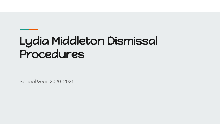# Lydia Middleton Dismissal Procedures

School Year 2020-2021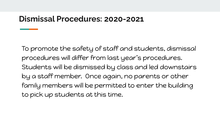#### **Dismissal Procedures: 2020-2021**

To promote the safety of staff and students, dismissal procedures will differ from last year's procedures. Students will be dismissed by class and led downstairs by a staff member. Once again, no parents or other family members will be permitted to enter the building to pick up students at this time.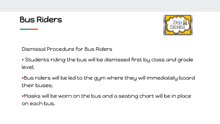#### Bus Riders



Dismissal Procedure for Bus Riders

• Students riding the bus will be dismissed first by class and grade level;

•Bus riders will be led to the gym where they will immediately board their buses;

•Masks will be worn on the bus and a seating chart will be in place on each bus.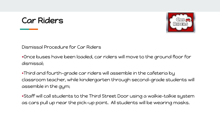## Car Riders



Dismissal Procedure for Car Riders

•Once buses have been loaded, car riders will move to the ground floor for dismissal;

•Third and fourth-grade car riders will assemble in the cafeteria by classroom teacher, while kindergarten through second-grade students will assemble in the gym;

•Staff will call students to the Third Street Door using a walkie-talkie system as cars pull up near the pick-up point. All students will be wearing masks.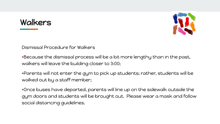## Walkers



Dismissal Procedure for Walkers

•Because the dismissal process will be a bit more lengthy than in the past, walkers will leave the building closer to 3:00;

•Parents will not enter the gym to pick up students; rather, students will be walked out by a staff member;

•Once buses have departed, parents will line up on the sidewalk outside the gym doors and students will be brought out. Please wear a mask and follow social distancing guidelines.